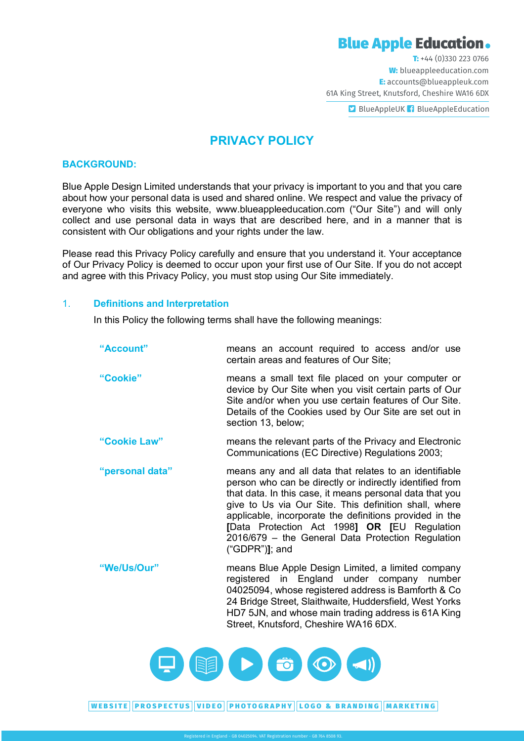# **Blue Apple Education.**

T: +44 (0)330 223 0766 W: blueappleeducation.com E: accounts@blueappleuk.com 61A King Street, Knutsford, Cheshire WA16 6DX

**D** BlueAppleUK f BlueAppleEducation

# **PRIVACY POLICY**

#### **BACKGROUND:**

Blue Apple Design Limited understands that your privacy is important to you and that you care about how your personal data is used and shared online. We respect and value the privacy of everyone who visits this website, www.blueappleeducation.com ("Our Site") and will only collect and use personal data in ways that are described here, and in a manner that is consistent with Our obligations and your rights under the law.

Please read this Privacy Policy carefully and ensure that you understand it. Your acceptance of Our Privacy Policy is deemed to occur upon your first use of Our Site. If you do not accept and agree with this Privacy Policy, you must stop using Our Site immediately.

# 1. **Definitions and Interpretation**

In this Policy the following terms shall have the following meanings:

| "Account"       | means an account required to access and/or use<br>certain areas and features of Our Site;                                                                                                                                                                                                                                                                                                                                   |
|-----------------|-----------------------------------------------------------------------------------------------------------------------------------------------------------------------------------------------------------------------------------------------------------------------------------------------------------------------------------------------------------------------------------------------------------------------------|
| "Cookie"        | means a small text file placed on your computer or<br>device by Our Site when you visit certain parts of Our<br>Site and/or when you use certain features of Our Site.<br>Details of the Cookies used by Our Site are set out in<br>section 13, below;                                                                                                                                                                      |
| "Cookie Law"    | means the relevant parts of the Privacy and Electronic<br>Communications (EC Directive) Regulations 2003;                                                                                                                                                                                                                                                                                                                   |
| "personal data" | means any and all data that relates to an identifiable<br>person who can be directly or indirectly identified from<br>that data. In this case, it means personal data that you<br>give to Us via Our Site. This definition shall, where<br>applicable, incorporate the definitions provided in the<br>[Data Protection Act 1998] OR [EU Regulation<br>2016/679 - the General Data Protection Regulation<br>$("GDPR")$ ; and |
| "We/Us/Our"     | means Blue Apple Design Limited, a limited company<br>registered in England under company number<br>04025094, whose registered address is Bamforth & Co<br>24 Bridge Street, Slaithwaite, Huddersfield, West Yorks                                                                                                                                                                                                          |



HD7 5JN, and whose main trading address is 61A King

Street, Knutsford, Cheshire WA16 6DX.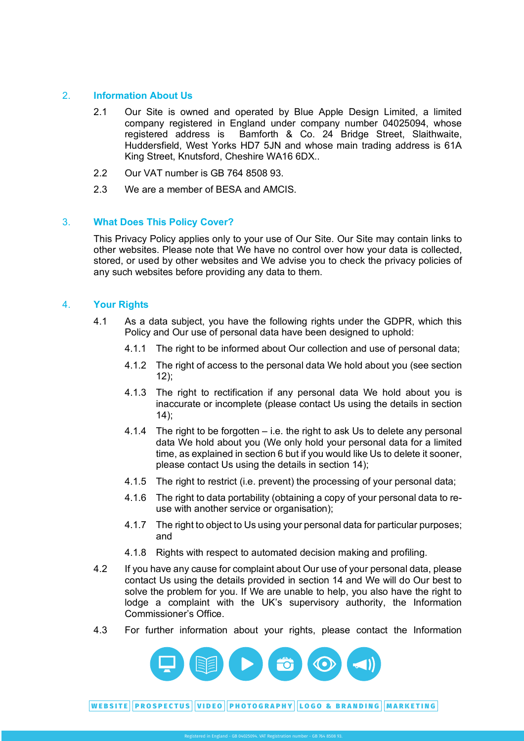# 2. **Information About Us**

- 2.1 Our Site is owned and operated by Blue Apple Design Limited, a limited company registered in England under company number 04025094, whose registered address is Bamforth & Co. 24 Bridge Street, Slaithwaite, Huddersfield, West Yorks HD7 5JN and whose main trading address is 61A King Street, Knutsford, Cheshire WA16 6DX..
- 2.2 Our VAT number is GB 764 8508 93.
- 2.3 We are a member of BESA and AMCIS.

# 3. **What Does This Policy Cover?**

This Privacy Policy applies only to your use of Our Site. Our Site may contain links to other websites. Please note that We have no control over how your data is collected, stored, or used by other websites and We advise you to check the privacy policies of any such websites before providing any data to them.

# 4. **Your Rights**

- 4.1 As a data subject, you have the following rights under the GDPR, which this Policy and Our use of personal data have been designed to uphold:
	- 4.1.1 The right to be informed about Our collection and use of personal data;
	- 4.1.2 The right of access to the personal data We hold about you (see section  $12$ ;
	- 4.1.3 The right to rectification if any personal data We hold about you is inaccurate or incomplete (please contact Us using the details in section  $14$ :
	- 4.1.4 The right to be forgotten i.e. the right to ask Us to delete any personal data We hold about you (We only hold your personal data for a limited time, as explained in section 6 but if you would like Us to delete it sooner, please contact Us using the details in section 14);
	- 4.1.5 The right to restrict (i.e. prevent) the processing of your personal data;
	- 4.1.6 The right to data portability (obtaining a copy of your personal data to reuse with another service or organisation);
	- 4.1.7 The right to object to Us using your personal data for particular purposes; and
	- 4.1.8 Rights with respect to automated decision making and profiling.
- 4.2 If you have any cause for complaint about Our use of your personal data, please contact Us using the details provided in section 14 and We will do Our best to solve the problem for you. If We are unable to help, you also have the right to lodge a complaint with the UK's supervisory authority, the Information Commissioner's Office.
- 4.3 For further information about your rights, please contact the Information

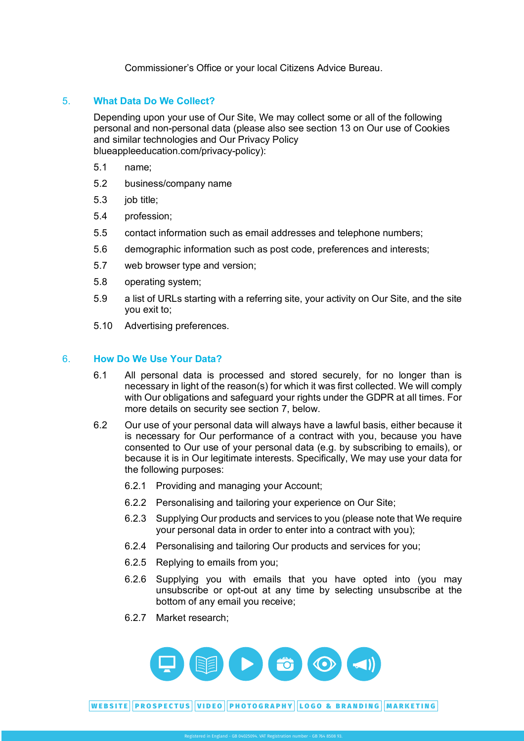Commissioner's Office or your local Citizens Advice Bureau.

# 5. **What Data Do We Collect?**

Depending upon your use of Our Site, We may collect some or all of the following personal and non-personal data (please also see section 13 on Our use of Cookies and similar technologies and Our Privacy Policy blueappleeducation.com/privacy-policy):

- 5.1 name;
- 5.2 business/company name
- 5.3 job title;
- 5.4 profession;
- 5.5 contact information such as email addresses and telephone numbers;
- 5.6 demographic information such as post code, preferences and interests;
- 5.7 web browser type and version;
- 5.8 operating system;
- 5.9 a list of URLs starting with a referring site, your activity on Our Site, and the site you exit to;
- 5.10 Advertising preferences.

#### 6. **How Do We Use Your Data?**

- 6.1 All personal data is processed and stored securely, for no longer than is necessary in light of the reason(s) for which it was first collected. We will comply with Our obligations and safeguard your rights under the GDPR at all times. For more details on security see section 7, below.
- 6.2 Our use of your personal data will always have a lawful basis, either because it is necessary for Our performance of a contract with you, because you have consented to Our use of your personal data (e.g. by subscribing to emails), or because it is in Our legitimate interests. Specifically, We may use your data for the following purposes:
	- 6.2.1 Providing and managing your Account;
	- 6.2.2 Personalising and tailoring your experience on Our Site;
	- 6.2.3 Supplying Our products and services to you (please note that We require your personal data in order to enter into a contract with you);
	- 6.2.4 Personalising and tailoring Our products and services for you;
	- 6.2.5 Replying to emails from you;
	- 6.2.6 Supplying you with emails that you have opted into (you may unsubscribe or opt-out at any time by selecting unsubscribe at the bottom of any email you receive;
	- 6.2.7 Market research;

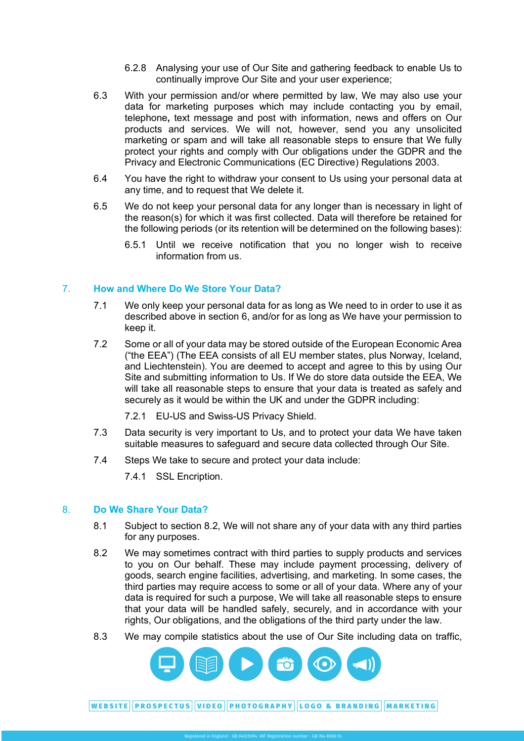- 6.2.8 Analysing your use of Our Site and gathering feedback to enable Us to  $ce,$ continually improve Our Site and your user experience;
- 6.3 With your permission and/or where permitted by law, We may also use your data for marketing purposes which may include contacting you by email, telephone**,** text message and post with information, news and offers on Our products and services. We will not, however, send you any unsolicited marketing or spam and will take all reasonable steps to ensure that We fully protect your rights and comply with Our obligations under the GDPR and the Privacy and Electronic Communications (EC Directive) Regulations 2003.
- 6.4 You have the right to withdraw your consent to Us using your personal data at any time, and to request that We delete it.
- 6.5 We do not keep your personal data for any longer than is necessary in light of the reason(s) for which it was first collected. Data will therefore be retained for the following periods (or its retention will be determined on the following bases):
	- 6.5.1 Until we receive notification that you no longer wish to receive information from us.

# 7. **How and Where Do We Store Your Data?**

- 7.1 We only keep your personal data for as long as We need to in order to use it as described above in section 6, and/or for as long as We have your permission to keep it.
- 7.2 Some or all of your data may be stored outside of the European Economic Area ("the EEA") (The EEA consists of all EU member states, plus Norway, Iceland, and Liechtenstein). You are deemed to accept and agree to this by using Our Site and submitting information to Us. If We do store data outside the EEA, We will take all reasonable steps to ensure that your data is treated as safely and securely as it would be within the UK and under the GDPR including:
	- 7.2.1 EU-US and Swiss-US Privacy Shield.
- 7.3 Data security is very important to Us, and to protect your data We have taken suitable measures to safeguard and secure data collected through Our Site.
- 7.4 Steps We take to secure and protect your data include:
	- 7.4.1 SSL Encription.

#### 8. **Do We Share Your Data?**

- 8.1 Subject to section 8.2, We will not share any of your data with any third parties for any purposes.
- 8.2 We may sometimes contract with third parties to supply products and services to you on Our behalf. These may include payment processing, delivery of goods, search engine facilities, advertising, and marketing. In some cases, the third parties may require access to some or all of your data. Where any of your data is required for such a purpose, We will take all reasonable steps to ensure that your data will be handled safely, securely, and in accordance with your rights, Our obligations, and the obligations of the third party under the law.
- 8.3 We may compile statistics about the use of Our Site including data on traffic,

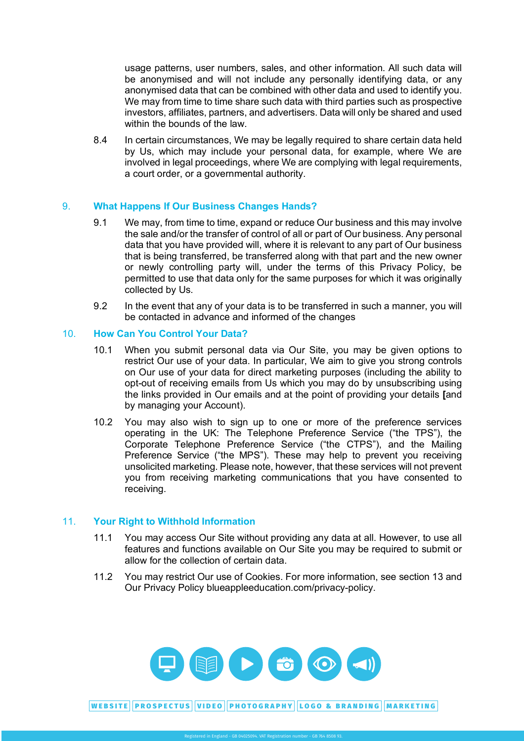# **Blue Apple Education.**

usage patterns, user numbers, sales, and other information. All such data will be anonymised and will not include any personally identifying data, or any anonymised data that can be combined with other data and used to identify you. including the matrix of the Chan Collection and the change partners contract prospective investors, affiliates, partners, and advertisers. Data will only be shared and used We may from time to time share such data with third parties such as prospective within the bounds of the law

8.4 In certain circumstances, We may be legally required to share certain data held by Us, which may include your personal data, for example, where We are involved in legal proceedings, where We are complying with legal requirements, a court order, or a governmental authority.

# 9. **What Happens If Our Business Changes Hands?**

- 9.1 We may, from time to time, expand or reduce Our business and this may involve the sale and/or the transfer of control of all or part of Our business. Any personal data that you have provided will, where it is relevant to any part of Our business that is being transferred, be transferred along with that part and the new owner or newly controlling party will, under the terms of this Privacy Policy, be permitted to use that data only for the same purposes for which it was originally collected by Us.
- 9.2 In the event that any of your data is to be transferred in such a manner, you will be contacted in advance and informed of the changes

#### 10. **How Can You Control Your Data?**

- 10.1 When you submit personal data via Our Site, you may be given options to restrict Our use of your data. In particular, We aim to give you strong controls on Our use of your data for direct marketing purposes (including the ability to opt-out of receiving emails from Us which you may do by unsubscribing using the links provided in Our emails and at the point of providing your details **[**and by managing your Account).
- 10.2 You may also wish to sign up to one or more of the preference services operating in the UK: The Telephone Preference Service ("the TPS"), the Corporate Telephone Preference Service ("the CTPS"), and the Mailing Preference Service ("the MPS"). These may help to prevent you receiving unsolicited marketing. Please note, however, that these services will not prevent you from receiving marketing communications that you have consented to receiving.

#### 11. **Your Right to Withhold Information**

- 11.1 You may access Our Site without providing any data at all. However, to use all features and functions available on Our Site you may be required to submit or allow for the collection of certain data.
- 11.2 You may restrict Our use of Cookies. For more information, see section 13 and Our Privacy Policy blueappleeducation.com/privacy-policy.

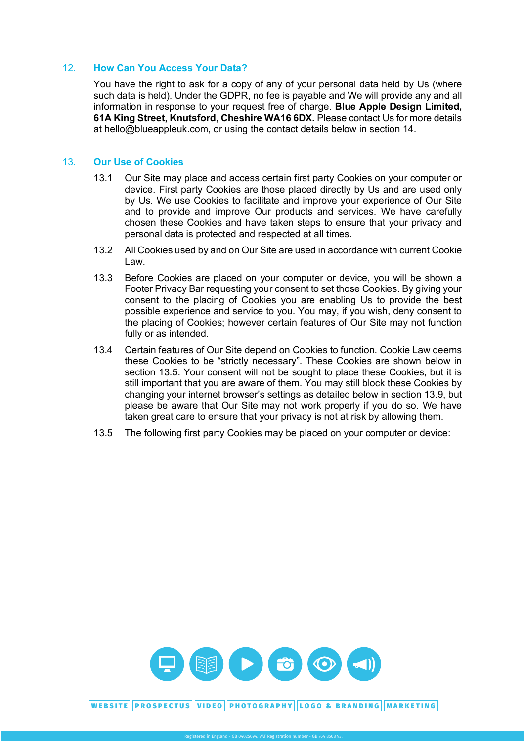# 12. **How Can You Access Your Data?**

You have the right to ask for a copy of any of your personal data held by Us (where such data is held). Under the GDPR, no fee is payable and We will provide any and all information in response to your request free of charge. **Blue Apple Design Limited, 61A King Street, Knutsford, Cheshire WA16 6DX.** Please contact Us for more details at hello@blueappleuk.com, or using the contact details below in section 14.

# 13. **Our Use of Cookies**

- 13.1 Our Site may place and access certain first party Cookies on your computer or device. First party Cookies are those placed directly by Us and are used only by Us. We use Cookies to facilitate and improve your experience of Our Site and to provide and improve Our products and services. We have carefully chosen these Cookies and have taken steps to ensure that your privacy and personal data is protected and respected at all times.
- 13.2 All Cookies used by and on Our Site are used in accordance with current Cookie Law.
- 13.3 Before Cookies are placed on your computer or device, you will be shown a Footer Privacy Bar requesting your consent to set those Cookies. By giving your consent to the placing of Cookies you are enabling Us to provide the best possible experience and service to you. You may, if you wish, deny consent to the placing of Cookies; however certain features of Our Site may not function fully or as intended.
- 13.4 Certain features of Our Site depend on Cookies to function. Cookie Law deems these Cookies to be "strictly necessary". These Cookies are shown below in section 13.5. Your consent will not be sought to place these Cookies, but it is still important that you are aware of them. You may still block these Cookies by changing your internet browser's settings as detailed below in section 13.9, but please be aware that Our Site may not work properly if you do so. We have taken great care to ensure that your privacy is not at risk by allowing them.
- 13.5 The following first party Cookies may be placed on your computer or device: